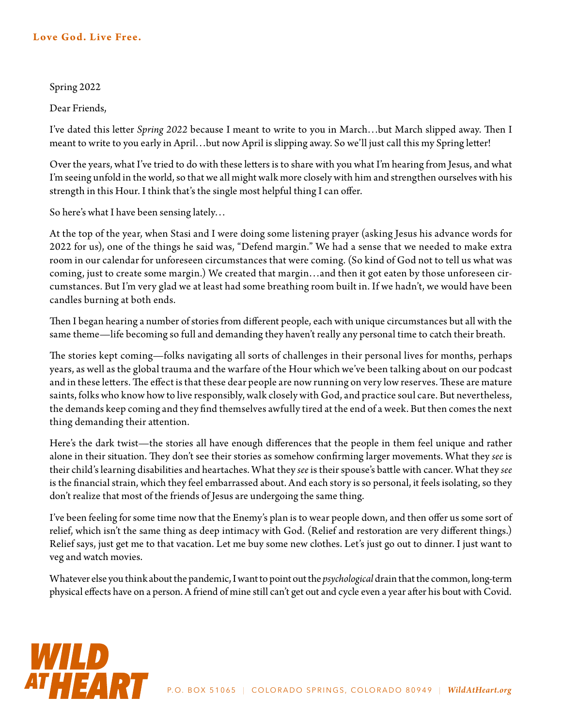## Love God. Live Free.

## Spring 2022

Dear Friends,

I've dated this letter *Spring 2022* because I meant to write to you in March…but March slipped away. Then I meant to write to you early in April…but now April is slipping away. So we'll just call this my Spring letter!

Over the years, what I've tried to do with these letters is to share with you what I'm hearing from Jesus, and what I'm seeing unfold in the world, so that we all might walk more closely with him and strengthen ourselves with his strength in this Hour. I think that's the single most helpful thing I can offer.

So here's what I have been sensing lately…

At the top of the year, when Stasi and I were doing some listening prayer (asking Jesus his advance words for 2022 for us), one of the things he said was, "Defend margin." We had a sense that we needed to make extra room in our calendar for unforeseen circumstances that were coming. (So kind of God not to tell us what was coming, just to create some margin.) We created that margin…and then it got eaten by those unforeseen circumstances. But I'm very glad we at least had some breathing room built in. If we hadn't, we would have been candles burning at both ends.

Then I began hearing a number of stories from different people, each with unique circumstances but all with the same theme—life becoming so full and demanding they haven't really any personal time to catch their breath.

The stories kept coming—folks navigating all sorts of challenges in their personal lives for months, perhaps years, as well as the global trauma and the warfare of the Hour which we've been talking about on our podcast and in these letters. The effect is that these dear people are now running on very low reserves. These are mature saints, folks who know how to live responsibly, walk closely with God, and practice soul care. But nevertheless, the demands keep coming and they find themselves awfully tired at the end of a week. But then comes the next thing demanding their attention.

Here's the dark twist—the stories all have enough differences that the people in them feel unique and rather alone in their situation. They don't see their stories as somehow confirming larger movements. What they *see* is their child's learning disabilities and heartaches. What they *see* is their spouse's battle with cancer. What they *see* is the financial strain, which they feel embarrassed about. And each story is so personal, it feels isolating, so they don't realize that most of the friends of Jesus are undergoing the same thing.

I've been feeling for some time now that the Enemy's plan is to wear people down, and then offer us some sort of relief, which isn't the same thing as deep intimacy with God. (Relief and restoration are very different things.) Relief says, just get me to that vacation. Let me buy some new clothes. Let's just go out to dinner. I just want to veg and watch movies.

Whatever else you think about the pandemic, I want to point out the *psychological* drain that the common, long-term physical effects have on a person. A friend of mine still can't get out and cycle even a year after his bout with Covid.